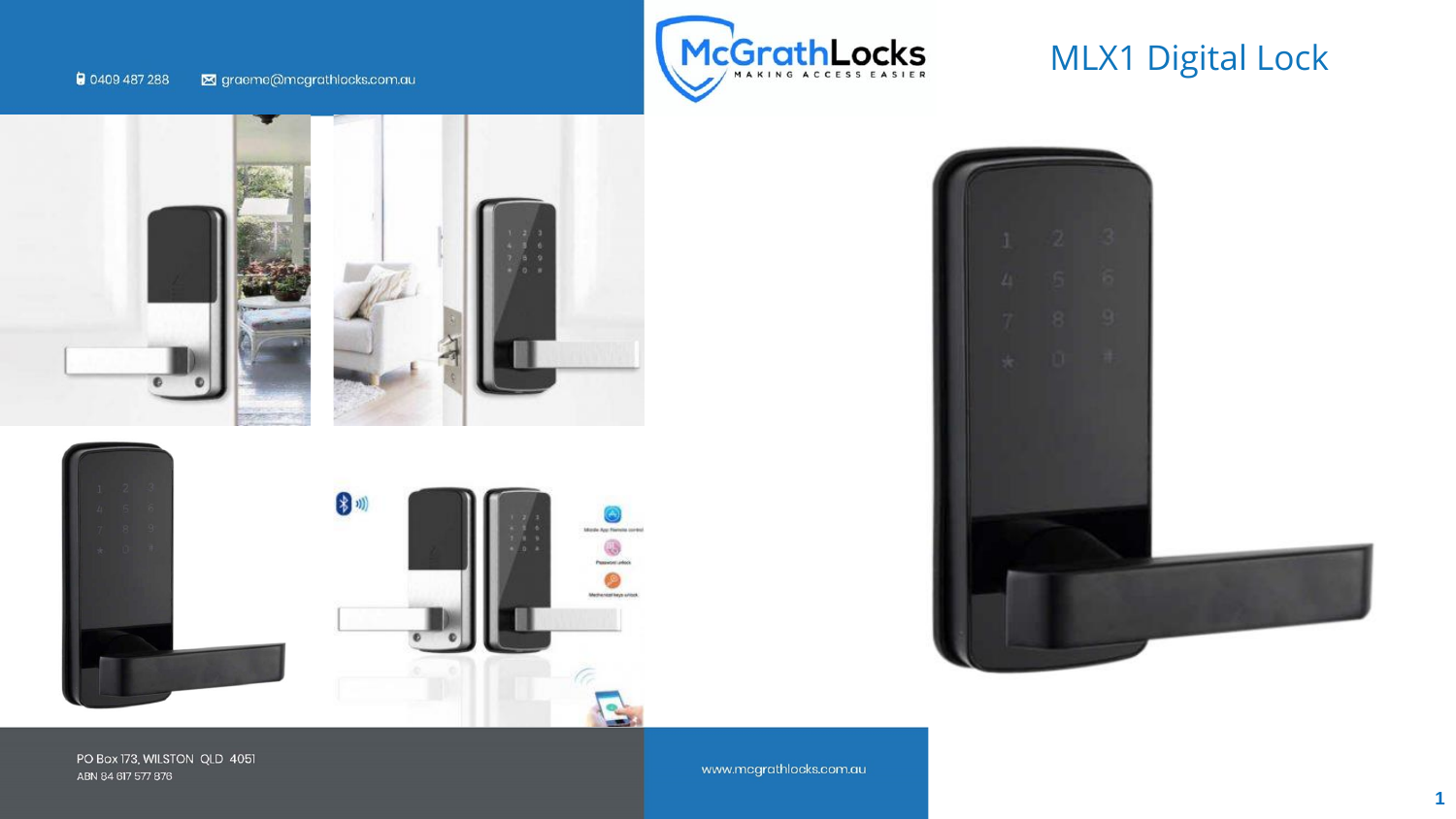









PO Box 173, WILSTON QLD 4051 ABN 84 617 577 876

www.mcgrathlocks.com.au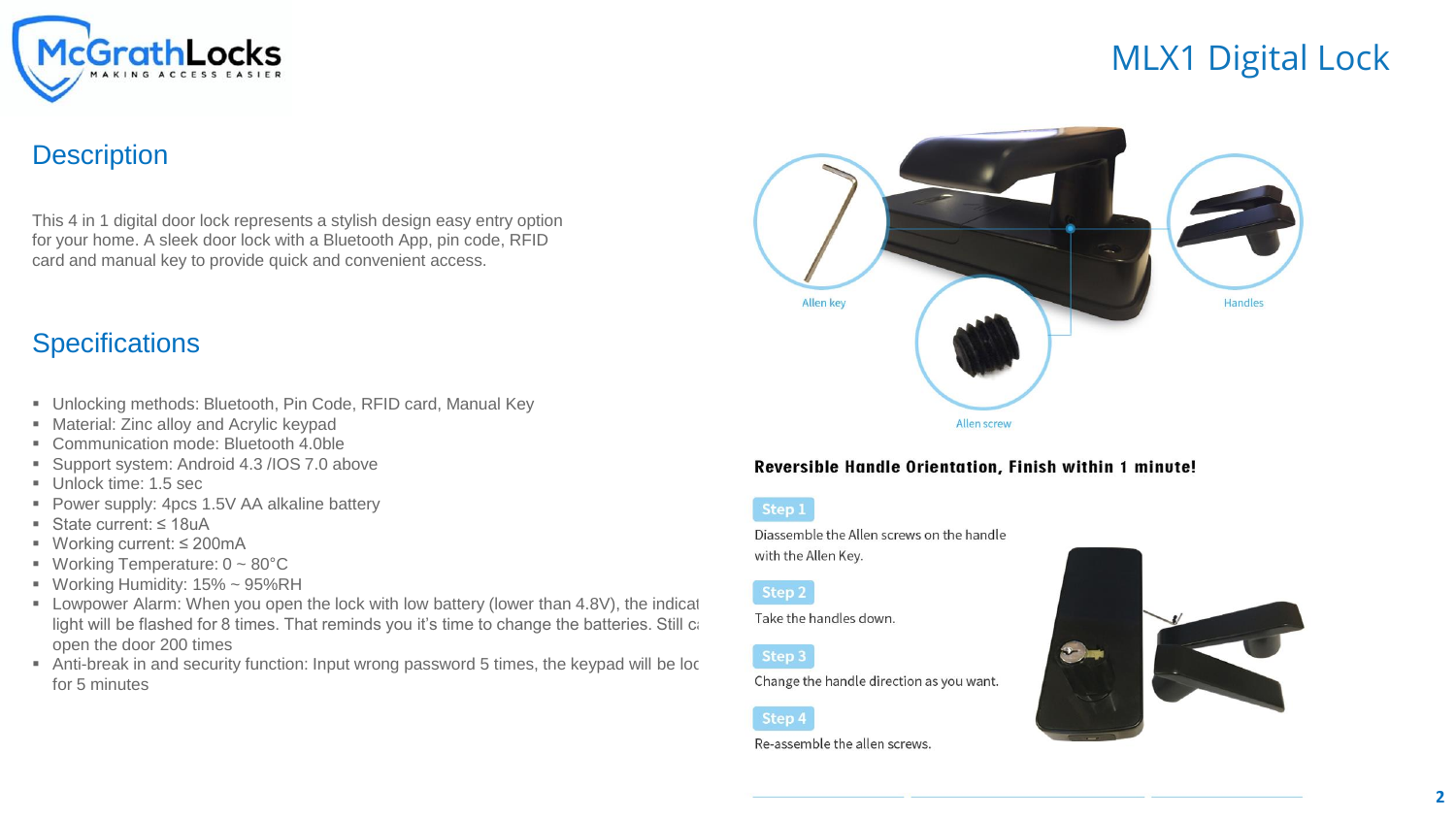

### **Description**

This 4 in 1 digital door lock represents a stylish design easy entry option for your home. A sleek door lock with a Bluetooth App, pin code, RFID card and manual key to provide quick and convenient access.

## **Specifications**

- Unlocking methods: Bluetooth, Pin Code, RFID card, Manual Key
- Material: Zinc alloy and Acrylic keypad
- Communication mode: Bluetooth 4.0ble
- Support system: Android 4.3 / IOS 7.0 above
- **Unlock time: 1.5 sec**
- Power supply: 4pcs 1.5V AA alkaline battery
- State current: ≤ 18uA
- Working current: ≤ 200mA
- **•** Working Temperature:  $0 \sim 80^{\circ}$ C
- **■** Working Humidity:  $15\% \sim 95\%RH$
- $\blacksquare$  Lowpower Alarm: When you open the lock with low battery (lower than 4.8V), the indicat light will be flashed for 8 times. That reminds you it's time to change the batteries. Still can open the door 200 times
- Anti-break in and security function: Input wrong password 5 times, the keypad will be loc for 5 minutes



### Reversible Handle Orientation, Finish within 1 minute!



Diassemble the Allen screws on the handle with the Allen Key.

### Step 2

Take the handles down.

Step 3

Change the handle direction as you want.

### Step 4

Re-assemble the allen screws.

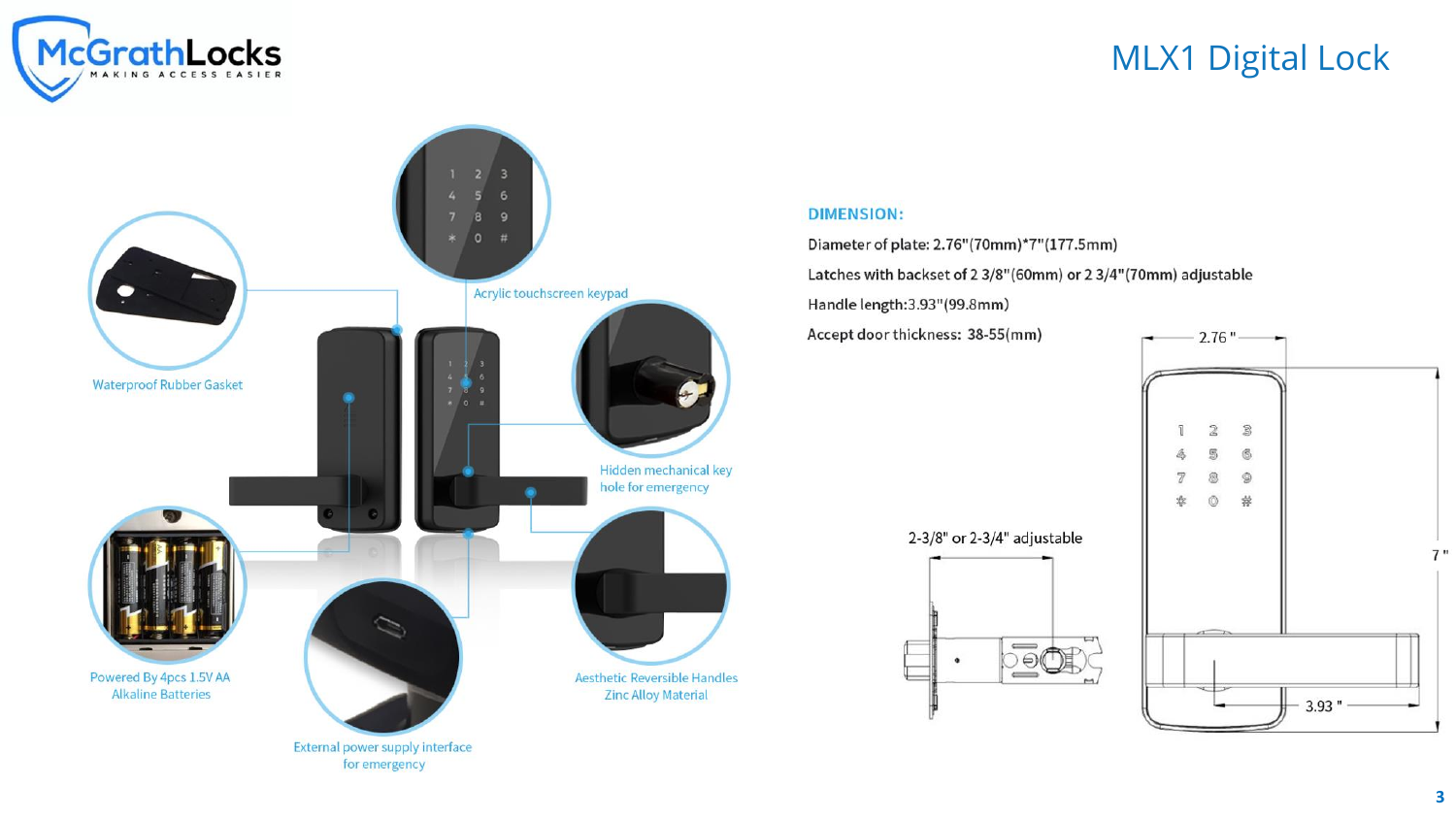



### **DIMENSION:**

Diameter of plate: 2.76"(70mm)\*7"(177.5mm) Latches with backset of 2 3/8"(60mm) or 2 3/4"(70mm) adjustable Handle length: 3.93" (99.8mm)

Accept door thickness: 38-55(mm)

2-3/8" or 2-3/4" adjustable



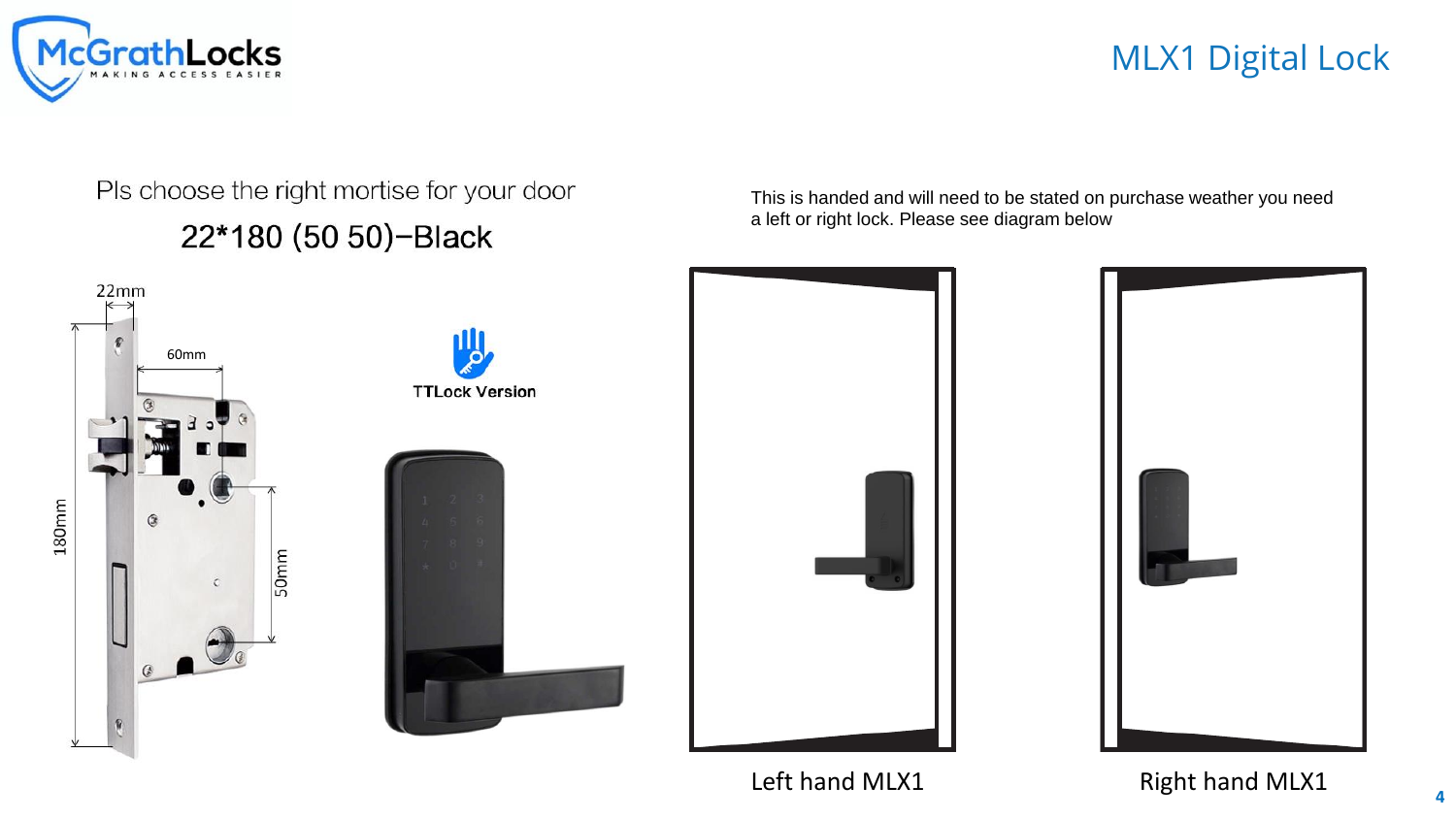

# Pls choose the right mortise for your door

22\*180 (50 50)-Black



This is handed and will need to be stated on purchase weather you need a left or right lock. Please see diagram below



Left hand MLX1 Right hand MLX1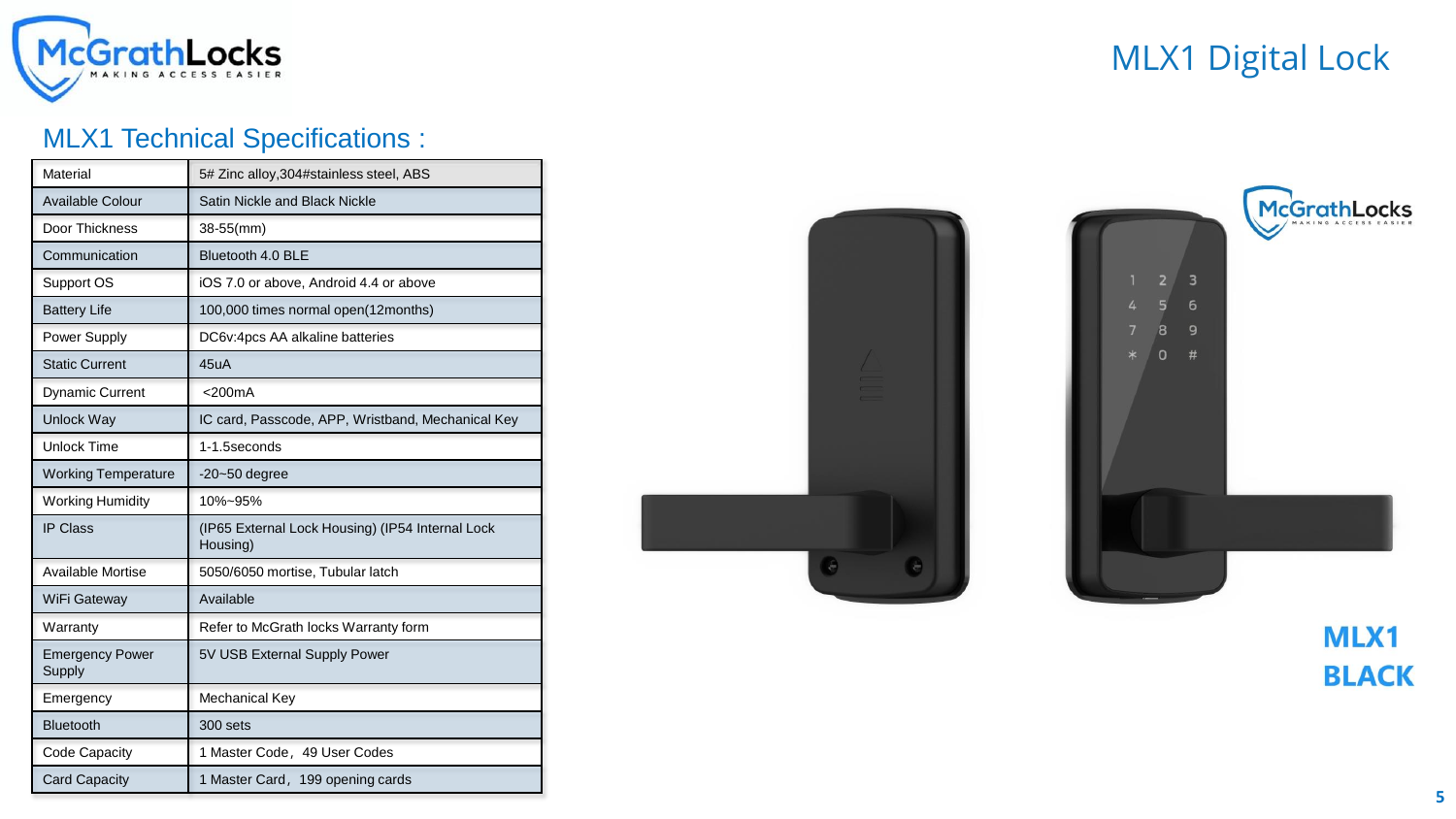

## MLX1 Technical Specifications :

| Material                         | 5# Zinc alloy, 304#stainless steel, ABS                      |
|----------------------------------|--------------------------------------------------------------|
| Available Colour                 | Satin Nickle and Black Nickle                                |
| Door Thickness                   | 38-55(mm)                                                    |
| Communication                    | Bluetooth 4.0 BLE                                            |
| Support OS                       | iOS 7.0 or above, Android 4.4 or above                       |
| <b>Battery Life</b>              | 100,000 times normal open(12months)                          |
| Power Supply                     | DC6v:4pcs AA alkaline batteries                              |
| <b>Static Current</b>            | 45uA                                                         |
| <b>Dynamic Current</b>           | $<$ 200 $mA$                                                 |
| Unlock Way                       | IC card, Passcode, APP, Wristband, Mechanical Key            |
| <b>Unlock Time</b>               | 1-1.5seconds                                                 |
| <b>Working Temperature</b>       | $-20-50$ degree                                              |
| <b>Working Humidity</b>          | 10%~95%                                                      |
| <b>IP Class</b>                  | (IP65 External Lock Housing) (IP54 Internal Lock<br>Housing) |
| <b>Available Mortise</b>         | 5050/6050 mortise, Tubular latch                             |
| WiFi Gateway                     | Available                                                    |
| Warranty                         | Refer to McGrath locks Warranty form                         |
| <b>Emergency Power</b><br>Supply | 5V USB External Supply Power                                 |
| Emergency                        | Mechanical Key                                               |
| <b>Bluetooth</b>                 | 300 sets                                                     |
| Code Capacity                    | 1 Master Code, 49 User Codes                                 |
| <b>Card Capacity</b>             | 1 Master Card, 199 opening cards                             |





**MLX1 BLACK**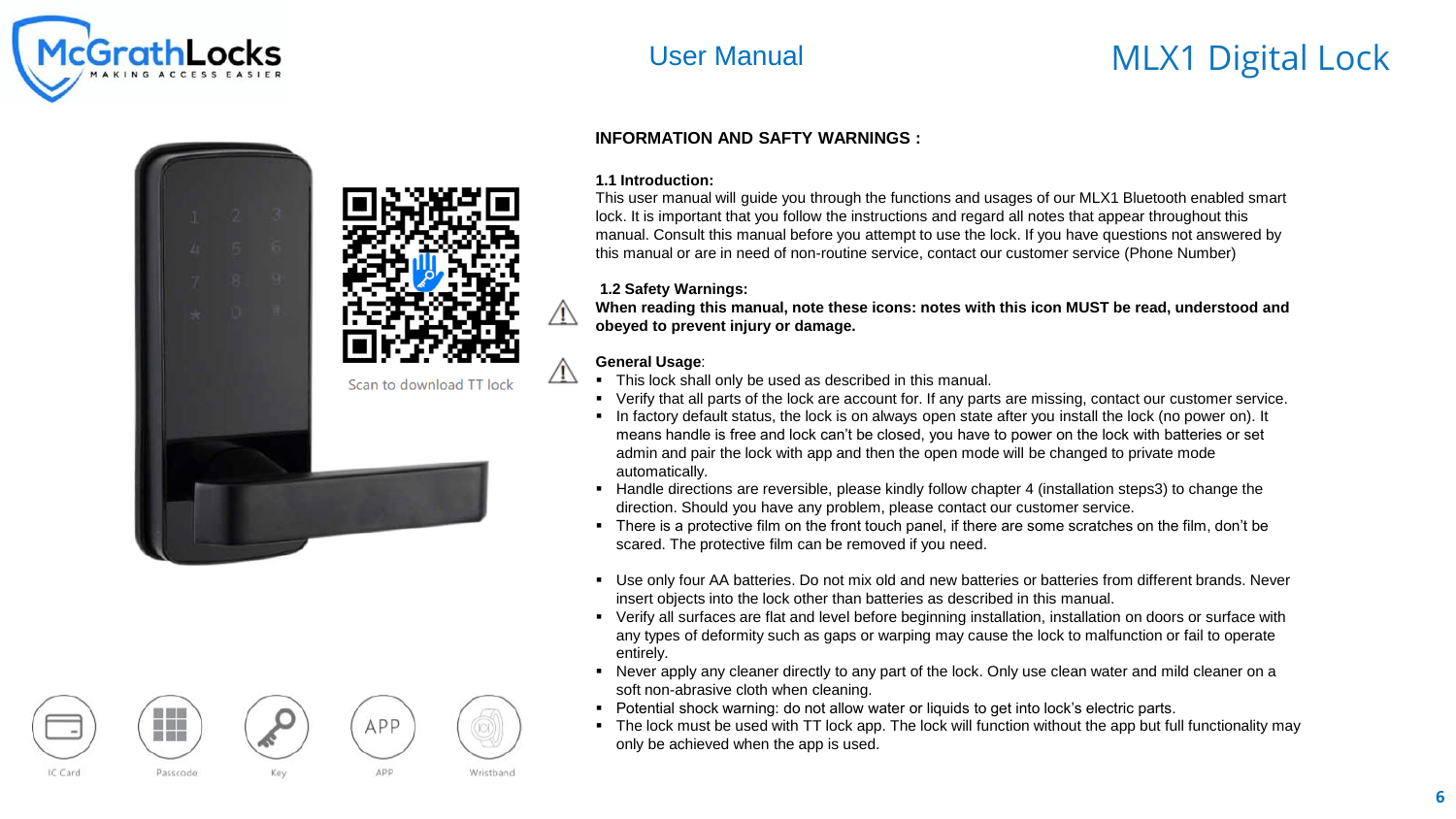

# User Manual MLX1 Digital Lock



### **INFORMATION AND SAFTY WARNINGS :**

### **1.1 Introduction:**

This user manual will guide you through the functions and usages of our MLX1 Bluetooth enabled smart lock. It is important that you follow the instructions and regard all notes that appear throughout this manual. Consult this manual before you attempt to use the lock. If you have questions not answered by this manual or are in need of non-routine service, contact our customer service (Phone Number)

### **1.2 Safety Warnings:**

**When reading this manual, note these icons: notes with this icon MUST be read, understood and obeyed to prevent injury or damage.** 

### **General Usage**:

ÆΝ

- This lock shall only be used as described in this manual.
- Verify that all parts of the lock are account for. If any parts are missing, contact our customer service.
- In factory default status, the lock is on always open state after you install the lock (no power on). It means handle is free and lock can't be closed, you have to power on the lock with batteries or set admin and pair the lock with app and then the open mode will be changed to private mode automatically.
- Handle directions are reversible, please kindly follow chapter 4 (installation steps3) to change the direction. Should you have any problem, please contact our customer service.
- There is a protective film on the front touch panel, if there are some scratches on the film, don't be scared. The protective film can be removed if you need.
- Use only four AA batteries. Do not mix old and new batteries or batteries from different brands. Never insert objects into the lock other than batteries as described in this manual.
- Verify all surfaces are flat and level before beginning installation, installation on doors or surface with any types of deformity such as gaps or warping may cause the lock to malfunction or fail to operate entirely.
- Never apply any cleaner directly to any part of the lock. Only use clean water and mild cleaner on a soft non-abrasive cloth when cleaning.
- Potential shock warning: do not allow water or liquids to get into lock's electric parts.
- The lock must be used with TT lock app. The lock will function without the app but full functionality may only be achieved when the app is used.

Wristband

APP

APP

IC Card

體弱

J. J. L **100 000 Cm** 

Passcode

Kev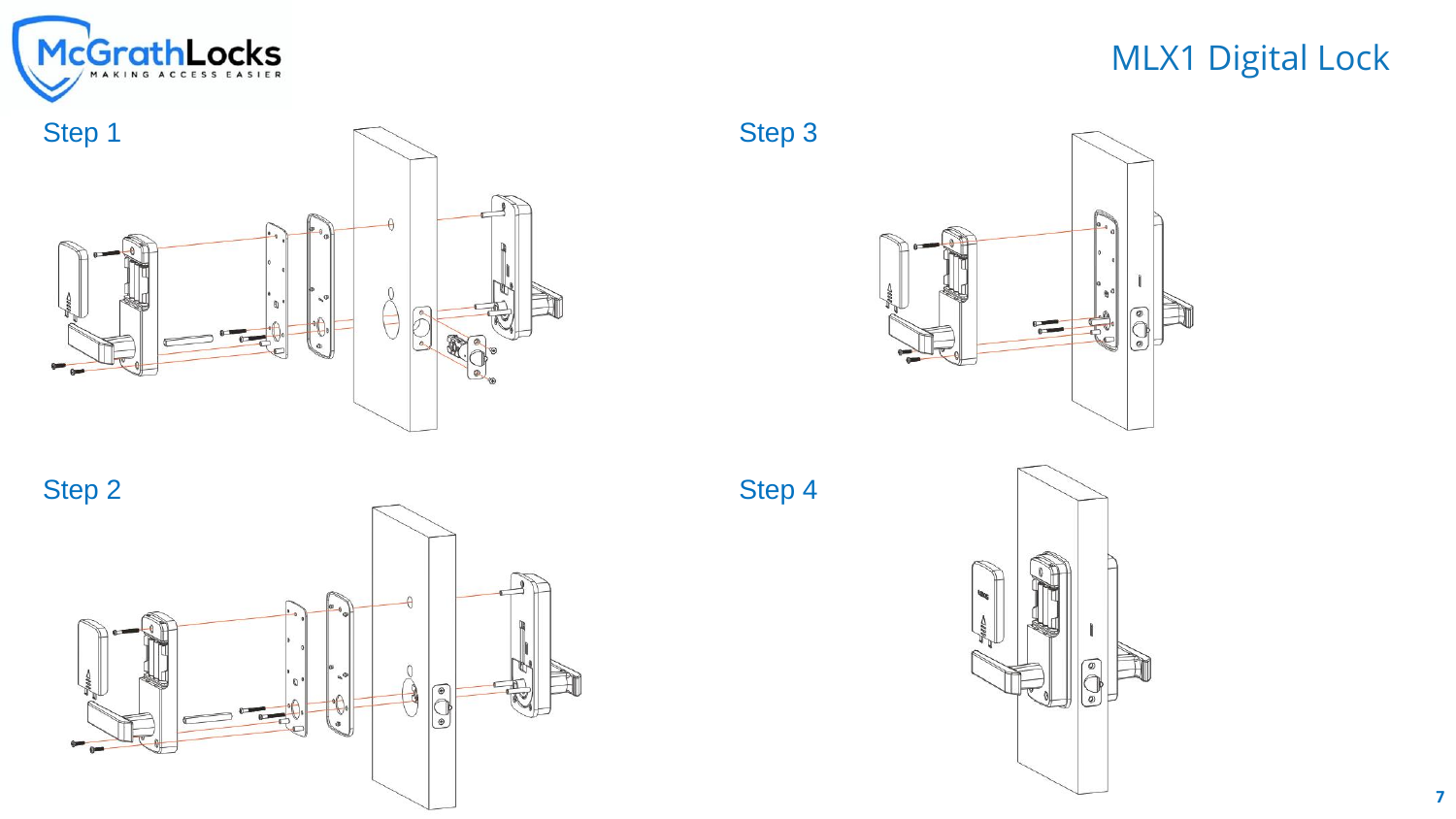







Step 3